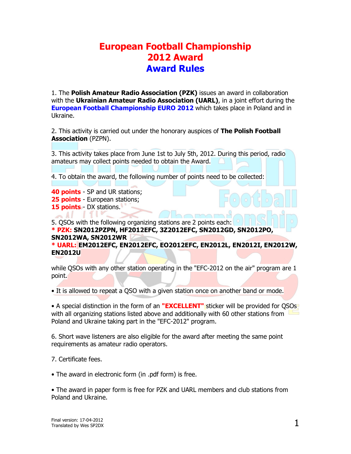## European Football Championship 2012 Award Award Rules

1. The Polish Amateur Radio Association (PZK) issues an award in collaboration with the Ukrainian Amateur Radio Association (UARL), in a joint effort during the **European Football Championship EURO 2012** which takes place in Poland and in Ukraine.

2. This activity is carried out under the honorary auspices of The Polish Football Association (PZPN).

3. This activity takes place from June 1st to July 5th, 2012. During this period, radio amateurs may collect points needed to obtain the Award.

4. To obtain the award, the following number of points need to be collected:

**40 points** - SP and UR stations; 25 points - European stations; 15 points - DX stations.

5. QSOs with the following organizing stations are 2 points each: \* PZK: SN2012PZPN, HF2012EFC, 3Z2012EFC, SN2012GD, SN2012PO, SN2012WA, SN2012WR

\* UARL: EM2012EFC, EN2012EFC, EO2012EFC, EN2012L, EN2012I, EN2012W, EN2012U

while QSOs with any other station operating in the "EFC-2012 on the air" program are 1 point.

• It is allowed to repeat a QSO with a given station once on another band or mode.

• A special distinction in the form of an "**EXCELLENT**" sticker will be provided for QSOs with all organizing stations listed above and additionally with 60 other stations from Poland and Ukraine taking part in the "EFC-2012" program.

6. Short wave listeners are also eligible for the award after meeting the same point requirements as amateur radio operators.

7. Certificate fees.

• The award in electronic form (in .pdf form) is free.

• The award in paper form is free for PZK and UARL members and club stations from Poland and Ukraine.